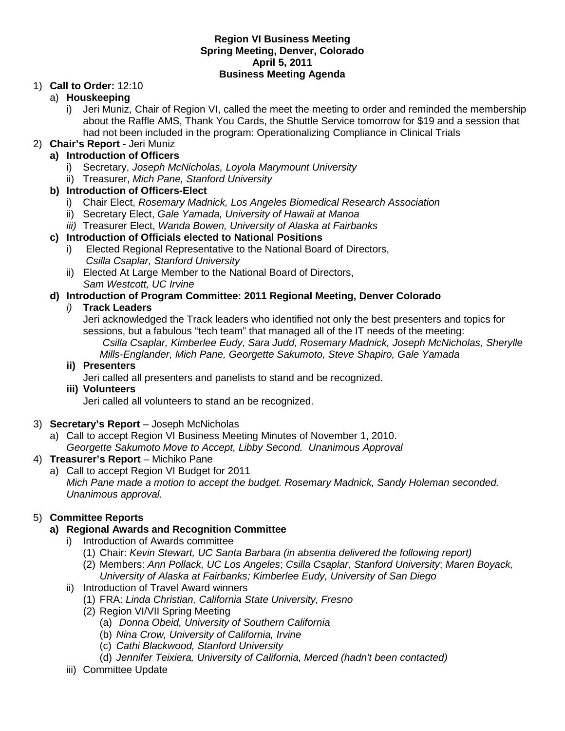#### **Region VI Business Meeting Spring Meeting, Denver, Colorado April 5, 2011 Business Meeting Agenda**

#### 1) **Call to Order:** 12:10

#### a) **Houskeeping**

i) Jeri Muniz, Chair of Region VI, called the meet the meeting to order and reminded the membership about the Raffle AMS, Thank You Cards, the Shuttle Service tomorrow for \$19 and a session that had not been included in the program: Operationalizing Compliance in Clinical Trials

#### 2) **Chair's Report** - Jeri Muniz

#### **a) Introduction of Officers**

- i) Secretary, *Joseph McNicholas, Loyola Marymount University*
- ii) Treasurer, *Mich Pane, Stanford University*

## **b) Introduction of Officers-Elect**

- i) Chair Elect, *Rosemary Madnick, Los Angeles Biomedical Research Association*
- ii) Secretary Elect, *Gale Yamada, University of Hawaii at Manoa*
- *iii)* Treasurer Elect, *Wanda Bowen, University of Alaska at Fairbanks*

#### **c) Introduction of Officials elected to National Positions**

- i) Elected Regional Representative to the National Board of Directors, *Csilla Csaplar, Stanford University*
- ii) Elected At Large Member to the National Board of Directors, *Sam Westcott, UC Irvine*

## **d) Introduction of Program Committee: 2011 Regional Meeting, Denver Colorado**

#### *i)* **Track Leaders**

Jeri acknowledged the Track leaders who identified not only the best presenters and topics for sessions, but a fabulous "tech team" that managed all of the IT needs of the meeting: *Csilla Csaplar, Kimberlee Eudy, Sara Judd, Rosemary Madnick, Joseph McNicholas, Sherylle Mills-Englander, Mich Pane, Georgette Sakumoto, Steve Shapiro, Gale Yamada*

#### **ii) Presenters**

Jeri called all presenters and panelists to stand and be recognized.

#### **iii) Volunteers**

Jeri called all volunteers to stand an be recognized.

#### 3) **Secretary's Report** – Joseph McNicholas

a) Call to accept Region VI Business Meeting Minutes of November 1, 2010. *Georgette Sakumoto Move to Accept, Libby Second. Unanimous Approval*

## 4) **Treasurer's Report** – Michiko Pane

a) Call to accept Region VI Budget for 2011 *Mich Pane made a motion to accept the budget. Rosemary Madnick, Sandy Holeman seconded. Unanimous approval.*

# 5) **Committee Reports**

## **a) Regional Awards and Recognition Committee**

- i) Introduction of Awards committee
	- (1) Chair: *Kevin Stewart, UC Santa Barbara (in absentia delivered the following report)*
	- (2) Members: *Ann Pollack, UC Los Angeles*; *Csilla Csaplar, Stanford University*; *Maren Boyack, University of Alaska at Fairbanks; Kimberlee Eudy, University of San Diego*
- ii) Introduction of Travel Award winners
	- (1) FRA: *Linda Christian, California State University, Fresno*
	- (2) Region VI/VII Spring Meeting
		- (a) *Donna Obeid, University of Southern California*
		- (b) *Nina Crow, University of California, Irvine*
		- (c) *Cathi Blackwood, Stanford University*
		- (d) *Jennifer Teixiera, University of California, Merced (hadn't been contacted)*
- iii) Committee Update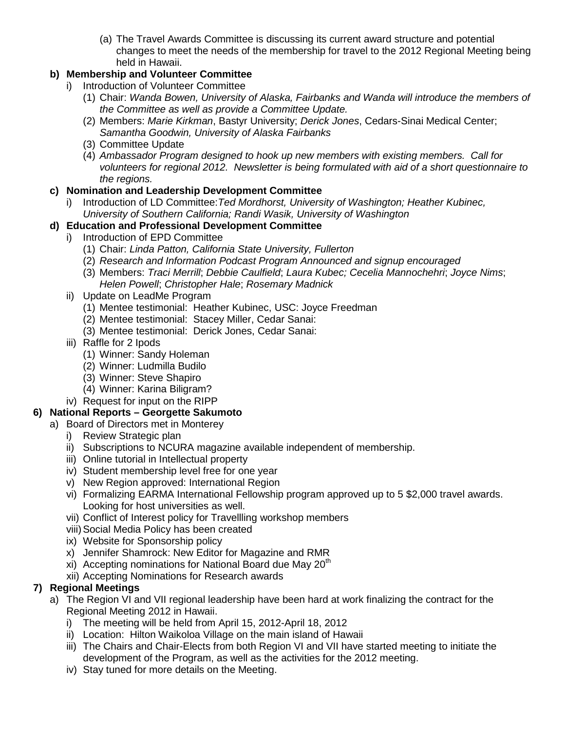(a) The Travel Awards Committee is discussing its current award structure and potential changes to meet the needs of the membership for travel to the 2012 Regional Meeting being held in Hawaii.

# **b) Membership and Volunteer Committee**

- i) Introduction of Volunteer Committee
	- (1) Chair: *Wanda Bowen, University of Alaska, Fairbanks and Wanda will introduce the members of the Committee as well as provide a Committee Update.*
	- (2) Members: *Marie Kirkman*, Bastyr University; *Derick Jones*, Cedars-Sinai Medical Center; *Samantha Goodwin, University of Alaska Fairbanks*
	- (3) Committee Update
	- (4) *Ambassador Program designed to hook up new members with existing members. Call for volunteers for regional 2012. Newsletter is being formulated with aid of a short questionnaire to the regions.*

# **c) Nomination and Leadership Development Committee**

i) Introduction of LD Committee:*Ted Mordhorst, University of Washington; Heather Kubinec, University of Southern California; Randi Wasik, University of Washington*

## **d) Education and Professional Development Committee**

- i) Introduction of EPD Committee
	- (1) Chair: *Linda Patton, California State University, Fullerton*
	- (2) *Research and Information Podcast Program Announced and signup encouraged*
	- (3) Members: *Traci Merrill*; *Debbie Caulfield*; *Laura Kubec; Cecelia Mannochehri*; *Joyce Nims*; *Helen Powell*; *Christopher Hale*; *Rosemary Madnick*
- ii) Update on LeadMe Program
	- (1) Mentee testimonial: Heather Kubinec, USC: Joyce Freedman
	- (2) Mentee testimonial: Stacey Miller, Cedar Sanai:
	- (3) Mentee testimonial: Derick Jones, Cedar Sanai:
- iii) Raffle for 2 Ipods
	- (1) Winner: Sandy Holeman
	- (2) Winner: Ludmilla Budilo
	- (3) Winner: Steve Shapiro
	- (4) Winner: Karina Biligram?
- iv) Request for input on the RIPP

## **6) National Reports – Georgette Sakumoto**

- a) Board of Directors met in Monterey
	- i) Review Strategic plan
	- ii) Subscriptions to NCURA magazine available independent of membership.
	- iii) Online tutorial in Intellectual property
	- iv) Student membership level free for one year
	- v) New Region approved: International Region
	- vi) Formalizing EARMA International Fellowship program approved up to 5 \$2,000 travel awards. Looking for host universities as well.
	- vii) Conflict of Interest policy for Travellling workshop members
	- viii)Social Media Policy has been created
	- ix) Website for Sponsorship policy
	- x) Jennifer Shamrock: New Editor for Magazine and RMR
	- xi) Accepting nominations for National Board due May  $20<sup>th</sup>$
	- xii) Accepting Nominations for Research awards

## **7) Regional Meetings**

- a) The Region VI and VII regional leadership have been hard at work finalizing the contract for the Regional Meeting 2012 in Hawaii.
	- i) The meeting will be held from April 15, 2012-April 18, 2012
	- ii) Location: Hilton Waikoloa Village on the main island of Hawaii
	- iii) The Chairs and Chair-Elects from both Region VI and VII have started meeting to initiate the development of the Program, as well as the activities for the 2012 meeting.
	- iv) Stay tuned for more details on the Meeting.